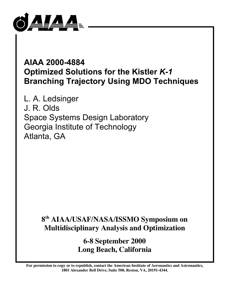

# **AIAA 2000-4884 Optimized Solutions for the Kistler** *K-1* **Branching Trajectory Using MDO Techniques**

L. A. Ledsinger J. R. Olds Space Systems Design Laboratory Georgia Institute of Technology Atlanta, GA

# **8th AIAA/USAF/NASA/ISSMO Symposium on Multidisciplinary Analysis and Optimization**

**6-8 September 2000 Long Beach, California**

**For permission to copy or to republish, contact the American Institute of Aeronautics and Astronautics, 1801 Alexander Bell Drive, Suite 500, Reston, VA, 20191-4344.**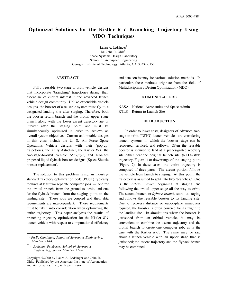# **Optimized Solutions for the Kistler** *K-1* **Branching Trajectory Using MDO Techniques**

Laura A. Ledsinger<sup>†</sup> Dr. John R. Olds<sup>††</sup> Space Systems Design Laboratory School of Aerospace Engineering Georgia Institute of Technology, Atlanta, GA 30332-0150

# **ABSTRACT**

Fully reusable two-stage-to-orbit vehicle designs that incorporate 'branching' trajectories during their ascent are of current interest in the advanced launch vehicle design community. Unlike expendable vehicle designs, the booster of a reusable system must fly to a designated landing site after staging. Therefore, both the booster return branch and the orbital upper stage branch along with the lower ascent trajectory are of interest after the staging point and must be simultaneously optimized in order to achieve an overall system objective. Current and notable designs in this class include the U. S. Air Force Space Operations Vehicle designs with their 'pop-up' trajectories, the Kelly Astroliner, the Kistler *K-1*, the two-stage-to-orbit vehicle *Stargazer*, and NASA's proposed liquid flyback booster designs (Space Shuttle booster replacement).

The solution to this problem using an industrystandard trajectory optimization code (POST) typically requires at least two separate computer jobs — one for the orbital branch, from the ground to orbit, and one for the flyback branch, from the staging point to the landing site. These jobs are coupled and their data requirements are interdependent. These requirements must be taken into consideration when optimizing the entire trajectory. This paper analyzes the results of branching trajectory optimization for the Kistler *K-1* launch vehicle with respect to computational efficiency and data consistency for various solution methods. In particular, these methods originate from the field of Multidisciplinary Design Optimization (MDO).

#### **NOMENCLATURE**

NASA National Aeronautics and Space Admin. RTLS Return to Launch Site

#### **INTRODUCTION**

In order to lower costs, designers of advanced twostage-to-orbit (TSTO) launch vehicles are considering launch systems in which the booster stage can be recovered, serviced, and reflown. Often the reusable booster is required to land at a predesignated recovery site either near the original launch site (RTLS-style trajectory, Figure 1) or downrange of the staging point (Figure 2). In these cases, the entire trajectory is composed of three parts. The ascent portion follows the vehicle from launch to staging. At this point, the trajectory is assumed to split into two 'branches.' One is the *orbital branch* beginning at staging and following the orbital upper stage all the way to orbit. The second branch, or *flyback branch*, starts at staging and follows the reusable booster to its landing site. Due to recovery distance or out-of-plane maneuvers required, the booster is often powered for its flight to the landing site. In simulations where the booster is jettisoned from an orbital vehicle, it may be convenient to combine the ascent trajectory and the orbital branch to create one computer job, as is the case with the Kistler *K-1*. The same may be said about a launch vehicle with an upper stage that is jettisoned; the ascent trajectory and the flyback branch may be combined.

<sup>†</sup>  *- Ph.D. Candidate, School of Aerospace Engineering, Member AIAA.*

<sup>††</sup> *- Assistant Professor, School of Aerospace Engineering, Senior Member AIAA.*

Copyright ©2000 by Laura A. Ledsinger and John R. Olds. Published by the American Institute of Aeronautics and Astronautics, Inc., with permission.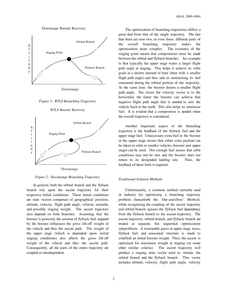

Downrange Booster Recovery

*Figure 1: RTLS Branching Trajectory*



RTLS Booster Recovery

*Figure 2: Downrange Branching Trajectory*

In general, both the orbital branch and the flyback branch rely upon the ascent trajectory for their respective initial conditions. These initial conditions are state vectors composed of geographical position, altitude, velocity, flight path angle, velocity azimuth, and possibly staging weight. The ascent trajectory also depends on both branches. Assuming that the booster is powered, the amount of flyback fuel required by the booster influences the gross lift-off weight of the vehicle and thus the ascent path. The weight of the upper stage (which is dependent upon initial staging conditions) also affects the gross lift-off weight of the vehicle and thus the ascent path. Consequently, all the parts of the entire trajectory are coupled or interdependent.

The optimization of branching trajectories differs a great deal from that of the single trajectory. The fact that there are now two, or even three, different parts of the overall branching trajectory makes the optimization more complex. The existence of the staging point means that compromises must be made between the orbital and flyback branches. An example is that typically the upper stage wants a larger flight path angle at staging. This helps it achieve its orbit goals in a shorter amount of time (than with a smaller flight path angle) and thus aids in minimizing its fuel consumed during the orbital portion of the trajectory. At the same time, the booster desires a smaller flight path angle. The closer the velocity vector is to the horizontal, the faster the booster can achieve that negative flight path angle that is needed to aim the vehicle back to the earth. This also helps to minimize fuel. It is evident that a compromise is needed when the overall trajectory is considered.

Another important aspect of the branching trajectory is the feedback of the flyback fuel and the upper stage fuel. Unnecessary extra fuel in the booster or the upper stage means that either extra payload can be taken to orbit or smaller vehicles (booster and upper stage) can be used. Not enough fuel means that orbit conditions may not be met and the booster does not return to its designated landing site. Thus, the feedback of these fuels is required.

#### *Traditional Solution Methods*

Unfortunately, a common method currently used in industry for optimizing a branching trajectory problem (henceforth the *'One-and-Done' Method*), while recognizing the coupling of the ascent trajectory and orbital branch, ignores the flyback fuel dependency from the flyback branch to the ascent trajectory. The ascent trajectory, orbital branch, and flyback branch are treated as separate, but sequential optimization subproblems. A reasonable guess at upper stage mass, flyback fuel, and associated structure is made to establish an initial booster weight. Then, the ascent is optimized for maximum weight at staging (or some other similar criteria). The ascent trajectory will produce a staging state vector used to initiate the orbital branch and the flyback branch. This vector includes altitude, velocity, flight path angle, velocity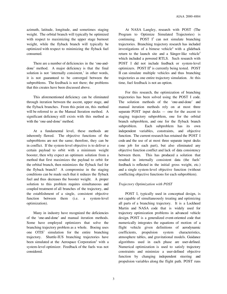azimuth, latitude, longitude, and sometimes staging weight. The orbital branch will typically be optimized with respect to maximizing the upper stage burnout weight, while the flyback branch will typically be optimized with respect to minimizing the flyback fuel consumed.

There are a number of deficiencies in the 'one-anddone' method. A major deficiency is that the final solution is not 'internally consistent,' in other words, it is not guaranteed to be converged between the subproblems. The feedback is not there; the problems that this creates have been discussed above.

This aforementioned deficiency can be eliminated through iteration between the ascent, upper stage, and the flyback branches. From this point on, this method will be referred to as the Manual Iteration method. A significant deficiency still exists with this method as with the 'one-and-done' method.

At a fundamental level, these methods are inherently flawed. The objective functions of the subproblems are not the same; therefore, they can be in conflict. If the system-level objective is to deliver a certain payload to orbit with a minimum weight booster, then why expect an optimum solution from a method that first maximizes the payload to orbit for the orbital branch, then minimizes the flyback fuel for the flyback branch? A compromise in the staging conditions can be made such that it reduces the flyback fuel and thus decreases the booster weight. A proper solution to this problem requires simultaneous and coupled treatment of all branches of the trajectory, and the establishment of a single, consistent objective function between them (i.e. a system-level optimization).

Many in industry have recognized the deficiencies of the 'one-and-done' and manual iteration methods. Some have employed optimizers that solve the branching trajectory problem as a whole. Boeing uses one OTIS<sup>1</sup> simulation for the entire branching trajectory. Shuttle-IUS branching trajectories have been simulated at the Aerospace Corporation<sup>2</sup> with a system-level optimizer. Feedback of the fuels was not considered.

At NASA Langley, research with POST (The Program to Optimize Simulated Trajectories) is continuing. POST  $I^3$  can not simulate branching trajectories. Branching trajectory research has included investigations of a bimese vehicle<sup>4</sup> with a glideback return to the launch site and a Sänger-like vehicle<sup>5</sup> which included a powered RTLS. Such research with POST I did not include feedback or system-level optimizers. POST II<sup>6</sup> is currently being tested. POST II can simulate multiple vehicles and thus branching trajectories as one entire trajectory simulation. At this time, fuel feedback is not an option.

For this research, the optimization of branching trajectories has been solved using the POST I code. The solution methods of the 'one-and-done' and manual iteration methods rely on at most three separate POST input decks — one for the ascent to staging trajectory subproblem, one for the orbital branch subproblem, and one for the flyback branch subproblem. Each subproblem has its own independent variables, constraints, and objective function. The current research has retained the POST I code and the use of at most three separate input decks (one job for each part), but also eliminated any objective function conflict and lack of data consistency between them. This has produced a solution that resulted in internally consistent data (the fuels' feedback is reflected in the initial gross weight, etc.) and a single system-level objective function (without conflicting objective functions for each subproblem).

#### *Trajectory Optimization with POST*

POST I, typically used in conceptual design, is not capable of simultaneously treating and optimizing all parts of a branching trajectory. It is a Lockheed Martin and NASA code that is widely used for trajectory optimization problems in advanced vehicle design. POST is a generalized event-oriented code that numerically integrates the equations of motion of a flight vehicle given definitions of aerodynamic coefficients, propulsion system characteristics, atmosphere tables, and gravitational models. Guidance algorithms used in each phase are user-defined. Numerical optimization is used to satisfy trajectory constraints and minimize a user-defined objective function by changing independent steering and propulsion variables along the flight path. POST runs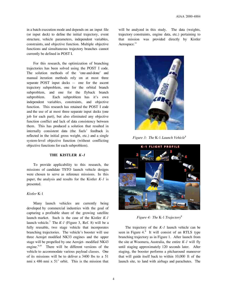in a batch execution mode and depends on an input file (or input deck) to define the initial trajectory, event structure, vehicle parameters, independent variables, constraints, and objective function. Multiple objective functions and simultaneous trajectory branches cannot currently be defined in POST I.

For this research, the optimization of branching trajectories has been solved using the POST I code. The solution methods of the 'one-and-done' and manual iteration methods rely on at most three separate POST input decks — one for the ascent trajectory subproblem, one for the orbital branch subproblem, and one for the flyback branch subproblem. Each subproblem has it's own independent variables, constraints, and objective function. This research has retained the POST I code and the use of at most three separate input decks (one job for each part), but also eliminated any objective function conflict and lack of data consistency between them. This has produced a solution that resulted in internally consistent data (the fuels' feedback is reflected in the initial gross weight, etc.) and a single system-level objective function (without conflicting objective functions for each subproblem).

# **THE KISTLER** *K-1*

To provide applicability to this research, the missions of candidate TSTO launch vehicle designs were chosen to serve as reference missions. In this paper, the analysis and results for the Kistler *K-1* is presented.

# *Kistler* K-1

Many launch vehicles are currently being developed by commercial industries with the goal of capturing a profitable share of the growing satellite launch market. Such is the case of the Kistler *K-1* launch vehicle.7 The *K-1* (Figure 3, Ref. 8) will be a fully reusable, two stage vehicle that incorporates branching trajectories. The vehicle's booster will use three Aerojet modified NK33 engines and the upper stage will be propelled by one Aerojet- modified NK43 engine.<sup>9,10</sup> There will be different versions of the vehicle to accommodate various payload classes. One of its missions will be to deliver a 3400 lbs to a 51 nmi x 486 nmi x 51˚ orbit. This is the mission that will be analyzed in this study. The data (weights, trajectory constraints, engine data, etc.) pertaining to that mission was provided directly by Kistler Aerospace.<sup>11</sup>



*Figure 3: The* K-1 *Launch Vehicle*<sup>8</sup>



*Figure 4: The* K-1 *Trajectory*<sup>8</sup>

The trajectory of the *K-1* launch vehicle can be seen in Figure 4.<sup>8</sup> It will consist of an RTLS type branching trajectory as in Figure 1. After launch from the site at Woomera, Australia, the entire *K-1* will fly until staging approximately 120 seconds later. After staging, the booster performs a pitcharound maneuver that will guide itself back to within 10,000 ft of the launch site, to land with airbags and parachutes. The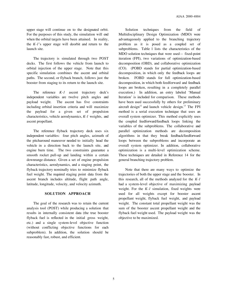upper stage will continue on to the designated orbit. For the purposes of this study, the simulation will end when the orbital targets have been attained. In reality, the *K-1*'s upper stage will deorbit and return to the launch site.

The trajectory is simulated through two POST decks. The first follows the vehicle from launch to orbital injection of the upper stage. Note that this specific simulation combines the ascent and orbital paths. The second, or flyback branch, follows just the booster from staging to its return to the launch site.

The reference *K-1* ascent trajectory deck's independent variables are twelve pitch angles and payload weight. The ascent has five constraints including orbital insertion criteria and will maximize the payload for a given set of propulsion characteristics, vehicle aerodynamics, *K-1* weights, and ascent propellant.

The reference flyback trajectory deck uses six independent variables: four pitch angles, azimuth of the pitcharound maneuver needed to initially head the vehicle in a direction back to the launch site, and engine burn time. The two constraints guarantee a smooth rocket pull-up and landing within a certain downrange distance. Given a set of engine propulsion characteristics, aerodynamics, and a staging point, the flyback trajectory nominally tries to minimize flyback fuel weight. The required staging point data from the ascent branch includes altitude, flight path angle, latitude, longitude, velocity, and velocity azimuth.

# **SOLUTION APPROACH**

The goal of the research was to retain the current analysis tool (POST) while producing a solution that results in internally consistent data (the true booster flyback fuel is reflected in the initial gross weight, etc.) and a single system-level objective function (without conflicting objective functions for each subproblem). In addition, the solution should be reasonably fast, robust, and efficient.

Solution techniques from the field of Multidisciplinary Design Optimization (MDO) were advantageously applied to the branching trajectory problem as it is posed as a coupled set of subproblems. Table 1 lists the characteristics of the MDO solution techniques that were used— fixed-point iteration (FPI), two variations of optimization-based decomposition (OBD), and collaborative optimization (CO). (POBD stands for partial optimization-based decomposition, in which only the feedback loops are broken. FOBD stands for full optimization-based decomposition, in which both feedforward and feedback loops are broken, resulting in a completely parallel execution.)In addition, an entry labeled 'Manual Iteration' is included for comparison. These methods have been used successfully by others for preliminary aircraft design $12$  and launch vehicle design.<sup>13</sup> The FPI method is a serial execution technique that uses an overall system optimizer. This method explicitly uses the coupled feedforward/feedback loops linking the variables of the subproblems. The collaborative and parallel optimization methods are decomposition algorithms in that they break feedback/feedforward loops between the subproblems and incorporate an overall system optimizer. In addition, collaborative optimization is a multi-level optimization scheme. These techniques are detailed in Reference 14 for the general branching trajectory problem.

Note that there are many ways to optimize the trajectories of both the upper stage and the booster. In this research, all of the methods analyzed for the *K-1* had a system-level objective of maximizing payload weight. For the *K-1* simulation, fixed weights were used for all weights except for booster ascent propellant weight, flyback fuel weight, and payload weight. The constant total propellant weight was the sum of the booster ascent propellant weight and the flyback fuel weight used. The payload weight was the objective to be maximized.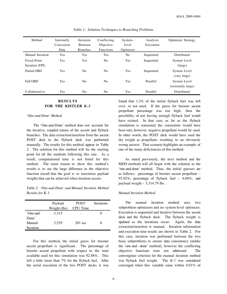| Method           | Internally | <b>Iteration</b> | Conflicting      | System-   | Analysis   | <b>Optimizer Strategy</b> |
|------------------|------------|------------------|------------------|-----------|------------|---------------------------|
|                  | Consistent | <b>Between</b>   | Objective        | level     | Execution  |                           |
|                  | Data       | <b>Branches</b>  | <b>Functions</b> | Optimizer |            |                           |
| Manual Iteration | Yes        | Yes              | <b>Yes</b>       | No        | Sequential | Distributed               |
| Fixed-Point      | Yes        | <b>Yes</b>       | N <sub>0</sub>   | Yes       | Sequential | System Level              |
| Iteration (FPI)  |            |                  |                  |           |            | (large)                   |
| Partial OBD      | Yes        | N <sub>0</sub>   | N <sub>0</sub>   | Yes       | Sequential | System Level              |
|                  |            |                  |                  |           |            | (very large)              |
| <b>Full OBD</b>  | Yes        | N <sub>0</sub>   | N <sub>0</sub>   | Yes       | Parallel   | System Level              |
|                  |            |                  |                  |           |            | (extremely large)         |
| Collaborative    | Yes        | N <sub>o</sub>   | N <sub>0</sub>   | Yes       | Parallel   | Distributed               |

*Table 1: Solution Techniques to Branching Problems*

# **RESULTS FOR THE KISTLER** *K-1*

#### *'One-and-Done' Method*

The 'One-and-Done' method does not account for the iterative, coupled nature of the ascent and flyback branches. The data extraction/insertion from the ascent POST deck to the flyback deck was performed manually. The results for this method appear in Table 2. The solution for this method will be the starting point for all the methods following this one. As a result, computational time is not listed for this method. The main reason to show this method's results is to see the large difference in the objective function (recall that the goal is to maximize payload weight) that can be achieved when iteration occurs.

*Table 2: 'One-and-Done' and Manual Iteration Method Results for* K-1

|           | Payload      | <b>POST</b>       | <b>Iterations</b> |
|-----------|--------------|-------------------|-------------------|
|           | Weight (lbs) | <b>CPU</b> Time   |                   |
| 'One-and- | 3,315        |                   |                   |
| Done'     |              |                   |                   |
| Manual    | 3,529        | $201 \text{ sec}$ |                   |
| Iteration |              |                   |                   |

For this method, the initial guess for booster ascent propellant is significant. The percentage of booster ascent propellant with respect to the total available used for this simulation was 92.88%. This left a little more than 7% for the flyback fuel. After the serial execution of the two POST decks, it was found that 1.2% of the initial flyback fuel was left over, or not used. If the guess for booster ascent propellant percentage was too high, then the possibility of not having enough flyback fuel would have existed. In that case, as far as the flyback simulation is concerned, the constraints would have been met, however, negative propellant would be used. In other words, the POST deck would have used the dry weight as propellant, resulting in an obviously wrong answer. That scenario highlights an example of one of the many deficiencies of this method.

As stated previously, the next method and the MDO methods will all begin with the solution to the 'one-and-done' method. Thus, the initial guesses are as follows: percentage of booster ascent propellant – 93.92%, percentage of flyback fuel – 6.08%, and payload weight  $-3,314.79$  lbs.

#### *Manual Iteration Method*

The manual iteration method uses two subproblem optimizers and no system-level optimizer. Execution is sequential and iterative between the ascent deck and the flyback deck. The flyback weight is updated as the iterations occur. Again, the data extraction/insertion is manual. Iteration information and execution time results are shown in Table 2. For this case, iteration was performed between the two basic subproblems to ensure data consistency (unlike the 'one-and –done' method), however the conflicting objective functions were not addressed. The convergence criterion for the manual iteration method was flyback fuel weight. The *K-1* was considered converged when this variable came within 0.01% of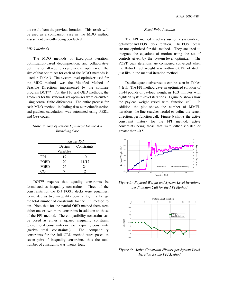the result from the previous iteration. This result will be used as a comparison case in the MDO method assessment currently being conducted.

#### *MDO Methods*

The MDO methods of fixed-point iteration, optimization-based decomposition, and collaborative optimization all require a system-level optimizer. The size of that optimizer for each of the MDO methods is listed in Table 3. The system-level optimizer used for the MDO methods was the Modified Method of Feasible Directions implemented by the software program DOT™. For the FPI and OBD methods, the gradients for the system-level optimizer were calculated using central finite differences. The entire process for each MDO method, including data extraction/insertion and gradient calculation, was automated using PERL and C++ codes.

*Table 3: Size of System Optimizer for the K-1 Branching Case*

|             | Kistler $K-1$         |       |  |  |
|-------------|-----------------------|-------|--|--|
|             | Constraints<br>Design |       |  |  |
|             | Variables             |       |  |  |
| <b>FPI</b>  | 19                    | 10    |  |  |
| <b>POBD</b> | 20                    | 11/12 |  |  |
| <b>FOBD</b> | 26                    | 24    |  |  |
| CО          |                       |       |  |  |

DOT™ requires that equality constraints be formulated as inequality constraints. Three of the constraints for the *K-1* POST decks were equalities; formulated as two inequality constraints, this brings the total number of constraints for the FPI method to ten. Note that for the partial OBD method there were either one or two more constrains in addition to those of the FPI method. The compatibility constraint can be posed as either a squared inequality constraint (eleven total constraints) or two inequality constraints (twelve total constraints.) The compatibility constraints for the full OBD method were posed as seven pairs of inequality constraints, thus the total number of constraints was twenty-four.

#### *Fixed-Point Iteration*

The FPI method involves use of a system-level optimizer and POST deck iteration. The POST decks are not optimized for this method. They are used to integrate the equations of motion using the set of controls given by the system-level optimizer. The POST deck iterations are considered converged when the flyback fuel weight was within 0.01% of itself, just like in the manual iteration method.

Detailed quantitative results can be seen in Tables 4 & 5. The FPI method gave an optimized solution of 3,544 pounds of payload weight in 16.3 minutes with eighteen system-level iterations. Figure 5 shows how the payload weight varied with function call. In addition, the plot shows the number of MMFD iterations, the line searches needed to define the search direction, per function call. Figure 6 shows the active constraint history for the FPI method, active constraints being those that were either violated or greater than –0.5.



*Figure 5: Payload Weight and System-Level Iterations per Function Call for the FPI Method*



*Figure 6: Active Constraint History per System-Level Iteration for the FPI Method*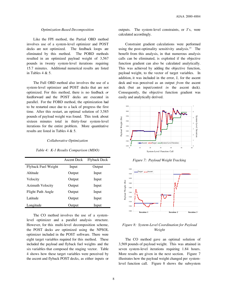### *Optimization-Based Decomposition*

Like the FPI method, the Partial OBD method involves use of a system-level optimizer and POST decks are not optimized. The feedback loops are eliminated by this method. The POBD methods resulted in an optimized payload weight of 3,567 pounds in twenty system-level iterations requiring 15.7 minutes.Additional numerical results are listed in Tables  $4 \& 5$ .

The Full OBD method also involves the use of a system-level optimizer and POST decks that are not optimized. For this method, there is no feedback *or* feedforward and the POST decks are executed in parallel. For the FOBD method, the optimization had to be restarted once due to a lack of progress the first time. After this restart, an optimal solution of 3,585 pounds of payload weight was found. This took about sixteen minutes total in thirty-four system-level iterations for the entire problem. More quantitative results are listed in Tables 4 & 5.

# *Collaborative Optimization*

|  |  |  | Table 4: K-1 Results Comparison (MDO) |  |  |
|--|--|--|---------------------------------------|--|--|
|--|--|--|---------------------------------------|--|--|

|                         | <b>Ascent Deck</b> | <b>Flyback Deck</b> |
|-------------------------|--------------------|---------------------|
| Flyback Fuel Weight     | Input              | Output              |
| Altitude                | Output             | Input               |
| Velocity                | Output             | Input               |
| <b>Azimuth Velocity</b> | Output             | Input               |
| Flight Path Angle       | Output             | Input               |
| Latitude                | Output             | Input               |
| Longitude               | Output             | Input               |

The CO method involves the use of a systemlevel optimizer and a parallel analysis structure. However, for this multi-level decomposition scheme, the POST decks *are* optimized using the NPSOL optimizer included in the POST software. There were eight target variables required for this method. These included the payload and flyback fuel weights and the six variables that composed the staging vector. Table 4 shows how these target variables were perceived by the ascent and flyback POST decks, as either inputs or outputs. The system-level constraints, or J's, were calculated accordingly.

Constraint gradient calculations were performed using the post-optimality sensitivity analysis.<sup>15</sup> The benefit from this analysis, in that numerous analysis calls can be eliminated, is exploited if the objective function gradient can also be calculated analytically. This was achieved by adding the objective function, payload weight, to the vector of target variables. In addition, it was included in the error, J, for the ascent deck and was perceived as an output *from* the ascent deck (but an input/control *in* the ascent deck). Consequently, the objective function gradient was easily and analytically derived.



*Figure 7: Payload Weight Tracking*



# *Figure 8: System-Level Coordination for Payload Weight*

The CO method gave an optimal solution of 3,569 pounds of payload weight. This was attained in seven system-level iterations requiring 1.84 hours. More results are given in the next section. Figure 7 illustrates how the payload weight changed per system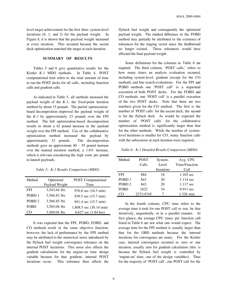level target achievement for the first three system-level iterations (0, 1, and 2) for the payload weight. In Figure 8, it is shown that the payload weight increased at every iteration. This occurred because the ascent deck optimization matched the target at each iteration.

#### **SUMMARY OF RESULTS**

Tables 5 and 6 give quantitative results for the Kistler *K-1* MDO methods. In Table 4, POST computational time refers to the total amount of time to run the POST decks for all calls, including function calls and gradient calls.

As indicated in Table 5, all methods increased the payload weight of the *K-1*, the fixed-point iteration method by about 15 pounds. The partial optimizationbased decomposition improved the payload weight of the *K-1* by approximately 23 pounds over the FPI method. The full optimization-based decomposition results in about a 42 pound increase in the payload weight over the FPI method. Use of the collaborative optimization method increased the payload by approximately 32 pounds. The decomposition methods gave an approximate  $40 - 55$  pound increase over the manual iteration method, a 1.6% increase, which is relevant considering the high costs per pound to launch payloads.

| Table 5: K-1 Results Comparison (MDO) |  |  |  |  |  |  |
|---------------------------------------|--|--|--|--|--|--|
|---------------------------------------|--|--|--|--|--|--|

| Method            | Optimized      | <b>POST</b> Computational |
|-------------------|----------------|---------------------------|
|                   | Payload Weight | Time                      |
| <b>FPI</b>        | 3,543.64 lbs   | 976.8 sec (16.3 min)      |
| POBD <sub>1</sub> | 3,566.82 lbs   | 939.5 sec (15.7 min)      |
| POBD <sub>2</sub> | 3,566.85 lbs   | 941.4 sec (15.7 min)      |
| <b>FOBD</b>       | 3,585.06 lbs   | 1,808.5 sec (30.14 min)   |
|                   | 3,569.04 lbs   | 6,627 sec (1.84 hrs)      |

It was expected that the FPI, POBD, FOBD, and CO methods result in the same objective function; however, the lack of performance by the FPI method may be attributed to the numerical noise introduced by the flyback fuel weight convergence tolerance on the internal POST iterations. This noise also affects the gradient calculations for the engine-on time design variable because for that gradient, internal POST iterations occur. This tolerance then affects the

flyback fuel weight and consequently the optimized payload weight. The marked difference in the FOBD method may partially be attributed to the existence of tolerances for the staging vector since the feedforward no longer existed. These tolerances would have affected the final payload weight.

Some definitions for the columns in Table 6 are required. The third column, 'POST calls,' refers to how many times an analysis evaluation occurred, including system-level, gradient (except for the CO method), and line search evaluations. For the FPI and POBD methods one 'POST call' is a sequential execution of both POST decks. For the FOBD and CO methods, one 'POST call' is a parallel execution of the two POST decks. Note that there are two numbers given for the CO method. The first is the number of 'POST calls' for the ascent deck, the second is for the flyback deck. As would be expected the number of 'POST calls' for the collaborative optimization method is significantly larger than that for the other methods. While the number of systemlevel iterations is smaller for CO, many function calls with the subsystems at each iteration were required.

*Table 6: K-1 Detailed Results Comparison (MDO)*

| Method                        | <b>POST</b> | System-           | Avg. CPU            |
|-------------------------------|-------------|-------------------|---------------------|
|                               | Calls       | Level             | Time/Function       |
|                               |             | <b>Iterations</b> | Call                |
| <b>FPI</b>                    | 884         | 18                | $1.105$ sec         |
| POBD <sub>1</sub>             | 843         | 20                | $1.114 \text{ sec}$ |
| POB <sub>D</sub> <sub>2</sub> | 843         | 20                | 1.117 sec           |
| <b>FOBD</b>                   | 1622        | 34                | $0.911$ sec         |
|                               | 2271/4745   |                   | $1.326$ min         |

In the fourth column, CPU time refers to the average time it took for one POST call to run, be that iteratively, sequentially, or in a parallel manner. At first glance, the average CPU times per function call listed in Table 6 are not what one would expect. The average time for the FPI method is usually larger than that for the OBD methods because the internal iterations for convergence are many. For the Kistler case, internal convergence occurred in zero or one iteration, usually zero for gradient calculation (this is because the flyback fuel weight is controlled by 'engine-on' time, one of the design variables). Thus for the majority of 'POST call', one POST call for the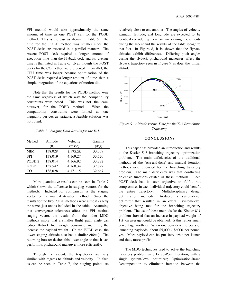FPI method would take approximately the same amount of time as one POST call for the POBD method. This is the case as shown in Table 6. The time for the FOBD method was smaller since the POST decks are executed in a parallel manner. The Ascent POST deck required a longer amount of execution time than the Flyback deck and its average time is that listed in Table 6. Even though the POST decks for the CO method were executed in parallel, the CPU time was longer because optimization of the POST decks required a longer amount of time than a simple integration of the equations of motion did.

Note that the results for the POBD method were the same regardless of which way the compatibility constraints were posed. This was not the case, however, for the FOBD method. When the compatibility constraints were formed as one inequality per design variable, a feasible solution was not found.

| Method            | Altitude          | Velocity | Gamma          |
|-------------------|-------------------|----------|----------------|
|                   | (f <sub>t</sub> ) | (ft/sec) | $(\text{deg})$ |
| MIM               | 138,028           | 4,172.28 | 33.337         |
| <b>FPI</b>        | 138,019           | 4,169.27 | 33.520         |
| POBD <sub>2</sub> | 138,014           | 4,166.92 | 33.272         |
| <b>FOBD</b>       | 137,542           | 4,160.34 | 32.892         |
| CO.               | 138,028           | 4,171.15 | 32.667         |

*Table 7: Staging Data Results for the K-1*

More quantitative results can be seen in Table 7 which shows the difference in staging vectors for the methods. Included for comparison is the staging vector for the manual iteration method. Since the results for the two POBD methods were almost exactly the same, just one is included in the table. Assuming that convergence tolerances affect the FPI method staging vector, the results from the other MDO methods imply that a smaller flight path angle can reduce flyback fuel weight consumed and thus, the increase the payload weight. (In the FOBD case, the lower staging altitude also has a similar effect.) The returning booster desires this lower angle so that it can perform its pitcharound maneuver more efficiently.

Through the ascent, the trajectories are very similar with regards to altitude and velocity. In fact, as can be seen in Table 7, the staging points are relatively close to one another. The angles of velocity azimuth, latitude, and longitude are expected to be identical considering there are no yawing movements during the ascent and the results of the table recognize that fact. In Figure 8, it is shown that the flyback altitudes exhibit differences. Differing pitch angles during the flyback pitcharound maneuver affect the flyback trajectory seen in Figure 9 as does the initial altitude.



*Figure 9: Altitude versus Time for the* K-1 *Branching Trajectory*

#### **CONCLUSIONS**

This paper has provided an introduction and results to the Kistler *K-1* branching trajectory optimization problem. The main deficiencies of the traditional methods of the 'one-and-done' and manual iteration methods were discussed for the branching trajectory problem. The main deficiency was that conflicting objective functions existed in these methods. Each POST deck had its own objective to fulfil, but compromises in each individual trajectory could benefit the entire trajectory. Multidisciplinary design optimization methods introduced a system-level optimizer that resulted in an overall, system-level objective being met for the branching trajectory problem. The use of these methods for the Kistler *K-1* problem showed that an increase in payload weight of 1%, on average, could be obtained. Is this rather small percentage worth it? When one considers the costs of launching payloads, about \$5,000 - \$6000 per pound, yes. More payload can be put into orbit per launch and thus, more profits.

The MDO techniques used to solve the branching trajectory problem were Fixed-Point Iteration, with a single system-level optimizer; Optimization-Based Decomposition to eliminate iteration between the